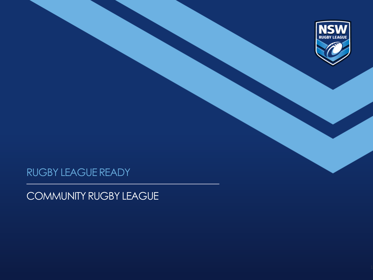

## RUGBY LEAGUE READY

COMMUNITY RUGBY LEAGUE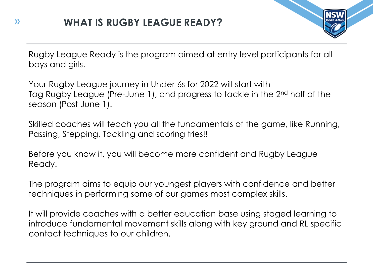

Rugby League Ready is the program aimed at entry level participants for all boys and girls.

Your Rugby League journey in Under 6s for 2022 will start with Tag Rugby League (Pre-June 1), and progress to tackle in the 2<sup>nd</sup> half of the season (Post June 1).

Skilled coaches will teach you all the fundamentals of the game, like Running, Passing, Stepping, Tackling and scoring tries!!

Before you know it, you will become more confident and Rugby League Ready.

The program aims to equip our youngest players with confidence and better techniques in performing some of our games most complex skills.

It will provide coaches with a better education base using staged learning to introduce fundamental movement skills along with key ground and RL specific contact techniques to our children.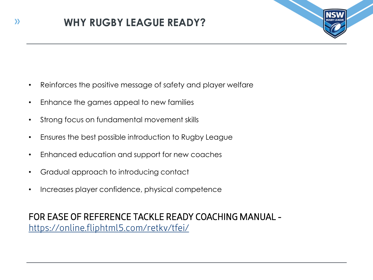

- Reinforces the positive message of safety and player welfare
- Enhance the games appeal to new families
- Strong focus on fundamental movement skills
- Ensures the best possible introduction to Rugby League
- Enhanced education and support for new coaches
- Gradual approach to introducing contact
- Increases player confidence, physical competence

FOR EASE OF REFERENCE TACKLE READY COACHING MANUAL <https://online.fliphtml5.com/retkv/tfei/>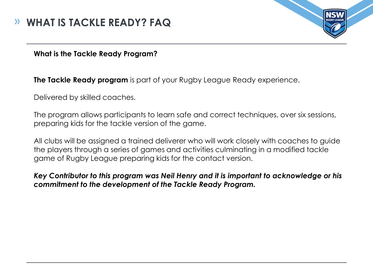## **WHAT IS TACKLE READY? FAQ**



**What is the Tackle Ready Program?**

**The Tackle Ready program** is part of your Rugby League Ready experience.

Delivered by skilled coaches.

The program allows participants to learn safe and correct techniques, over six sessions, preparing kids for the tackle version of the game.

All clubs will be assigned a trained deliverer who will work closely with coaches to guide the players through a series of games and activities culminating in a modified tackle game of Rugby League preparing kids for the contact version.

*Key Contributor to this program was Neil Henry and it is important to acknowledge or his commitment to the development of the Tackle Ready Program.*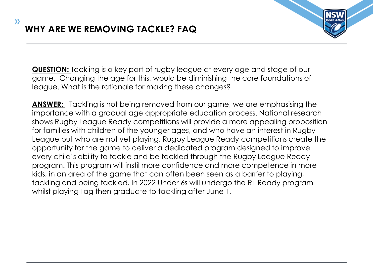

**QUESTION:** Tackling is a key part of rugby league at every age and stage of our game. Changing the age for this, would be diminishing the core foundations of league. What is the rationale for making these changes?

**ANSWER:** Tackling is not being removed from our game, we are emphasising the importance with a gradual age appropriate education process. National research shows Rugby League Ready competitions will provide a more appealing proposition for families with children of the younger ages, and who have an interest in Rugby League but who are not yet playing. Rugby League Ready competitions create the opportunity for the game to deliver a dedicated program designed to improve every child's ability to tackle and be tackled through the Rugby League Ready program. This program will instil more confidence and more competence in more kids, in an area of the game that can often been seen as a barrier to playing, tackling and being tackled. In 2022 Under 6s will undergo the RL Ready program whilst playing Tag then graduate to tackling after June 1.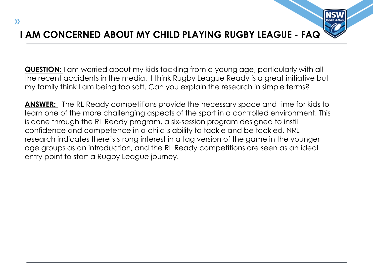## **I AM CONCERNED ABOUT MY CHILD PLAYING RUGBY LEAGUE - FAQ**

**QUESTION:** I am worried about my kids tackling from a young age, particularly with all the recent accidents in the media. I think Rugby League Ready is a great initiative but my family think I am being too soft. Can you explain the research in simple terms?

**ANSWER:** The RL Ready competitions provide the necessary space and time for kids to learn one of the more challenging aspects of the sport in a controlled environment. This is done through the RL Ready program, a six-session program designed to instil confidence and competence in a child's ability to tackle and be tackled. NRL research indicates there's strong interest in a tag version of the game in the younger age groups as an introduction, and the RL Ready competitions are seen as an ideal entry point to start a Rugby League journey.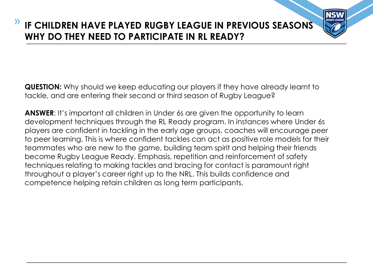## **IF CHILDREN HAVE PLAYED RUGBY LEAGUE IN PREVIOUS SEASONS WHY DO THEY NEED TO PARTICIPATE IN RL READY?**

**QUESTION:** Why should we keep educating our players if they have already learnt to tackle, and are entering their second or third season of Rugby League?

**ANSWER**: It's important all children in Under 6s are given the opportunity to learn development techniques through the RL Ready program. In instances where Under 6s players are confident in tackling in the early age groups, coaches will encourage peer to peer learning. This is where confident tackles can act as positive role models for their teammates who are new to the game, building team spirit and helping their friends become Rugby League Ready. Emphasis, repetition and reinforcement of safety techniques relating to making tackles and bracing for contact is paramount right throughout a player's career right up to the NRL. This builds confidence and competence helping retain children as long term participants.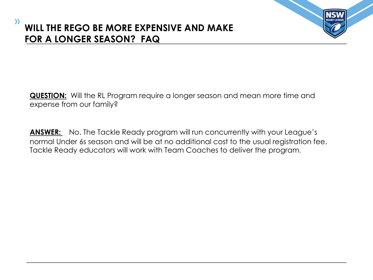**QUESTION:** Will the RL Program require a longer season and mean more time and expense from our family?

**ANSWER:** No. The Tackle Ready program will run concurrently with your League's normal Under 6s season and will be at no additional cost to the usual registration fee. Tackle Ready educators will work with Team Coaches to deliver the program.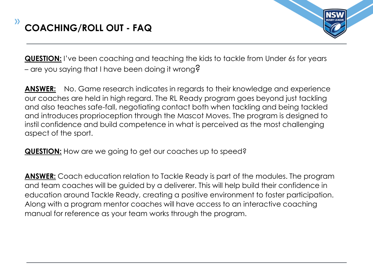

**QUESTION:** I've been coaching and teaching the kids to tackle from Under 6s for years – are you saying that I have been doing it wrong?

**ANSWER:** No. Game research indicates in regards to their knowledge and experience our coaches are held in high regard. The RL Ready program goes beyond just tackling and also teaches safe-fall, negotiating contact both when tackling and being tackled and introduces proprioception through the Mascot Moves. The program is designed to instil confidence and build competence in what is perceived as the most challenging aspect of the sport.

**QUESTION:** How are we going to get our coaches up to speed?

**ANSWER:** Coach education relation to Tackle Ready is part of the modules. The program and team coaches will be guided by a deliverer. This will help build their confidence in education around Tackle Ready, creating a positive environment to foster participation. Along with a program mentor coaches will have access to an interactive coaching manual for reference as your team works through the program.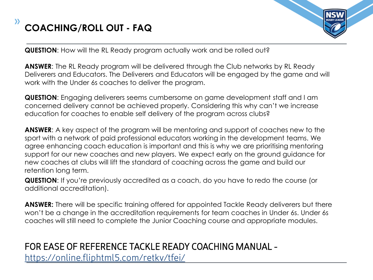



**QUESTION**: How will the RL Ready program actually work and be rolled out?

**ANSWER:** The RL Ready program will be delivered through the Club networks by RL Ready Deliverers and Educators. The Deliverers and Educators will be engaged by the game and will work with the Under 6s coaches to deliver the program.

**QUESTION**: Engaging deliverers seems cumbersome on game development staff and I am concerned delivery cannot be achieved properly. Considering this why can't we increase education for coaches to enable self delivery of the program across clubs?

**ANSWER**: A key aspect of the program will be mentoring and support of coaches new to the sport with a network of paid professional educators working in the development teams. We agree enhancing coach education is important and this is why we are prioritising mentoring support for our new coaches and new players. We expect early on the ground guidance for new coaches at clubs will lift the standard of coaching across the game and build our retention long term.

**QUESTION**: If you're previously accredited as a coach, do you have to redo the course (or additional accreditation).

**ANSWER:** There will be specific training offered for appointed Tackle Ready deliverers but there won't be a change in the accreditation requirements for team coaches in Under 6s. Under 6s coaches will still need to complete the Junior Coaching course and appropriate modules.

## FOR EASE OF REFERENCE TACKLE READY COACHING MANUAL <https://online.fliphtml5.com/retkv/tfei/>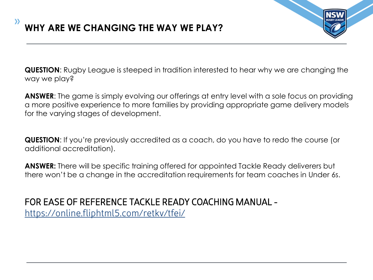

**QUESTION**: Rugby League is steeped in tradition interested to hear why we are changing the way we play?

**ANSWER**: The game is simply evolving our offerings at entry level with a sole focus on providing a more positive experience to more families by providing appropriate game delivery models for the varying stages of development.

**QUESTION**: If you're previously accredited as a coach, do you have to redo the course (or additional accreditation).

**ANSWER:** There will be specific training offered for appointed Tackle Ready deliverers but there won't be a change in the accreditation requirements for team coaches in Under 6s.

FOR EASE OF REFERENCE TACKLE READY COACHING MANUAL <https://online.fliphtml5.com/retkv/tfei/>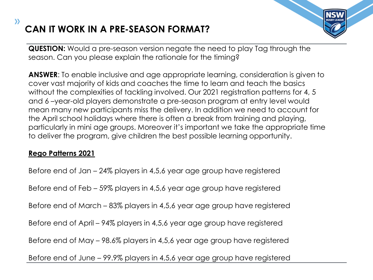# **CAN IT WORK IN A PRE-SEASON FORMAT?**



**QUESTION:** Would a pre-season version negate the need to play Tag through the season. Can you please explain the rationale for the timing?

**ANSWER**: To enable inclusive and age appropriate learning, consideration is given to cover vast majority of kids and coaches the time to learn and teach the basics without the complexities of tackling involved. Our 2021 registration patterns for 4, 5 and 6 –year-old players demonstrate a pre-season program at entry level would mean many new participants miss the delivery. In addition we need to account for the April school holidays where there is often a break from training and playing, particularly in mini age groups. Moreover it's important we take the appropriate time to deliver the program, give children the best possible learning opportunity.

### **Rego Patterns 2021**

 $\mathcal{Y}$ 

Before end of Jan – 24% players in 4,5,6 year age group have registered

Before end of Feb – 59% players in 4,5,6 year age group have registered

Before end of March – 83% players in 4,5,6 year age group have registered

Before end of April – 94% players in 4,5,6 year age group have registered

Before end of May – 98.6% players in 4,5,6 year age group have registered

Before end of June – 99.9% players in 4,5,6 year age group have registered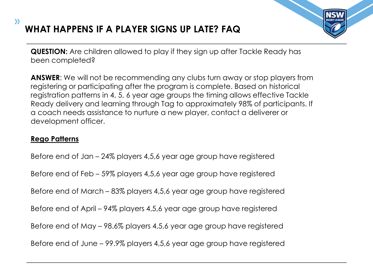# **WHAT HAPPENS IF A PLAYER SIGNS UP LATE? FAQ**



**QUESTION:** Are children allowed to play if they sign up after Tackle Ready has been completed?

**ANSWER**: We will not be recommending any clubs turn away or stop players from registering or participating after the program is complete. Based on historical registration patterns in 4, 5, 6 year age groups the timing allows effective Tackle Ready delivery and learning through Tag to approximately 98% of participants. If a coach needs assistance to nurture a new player, contact a deliverer or development officer.

### **Rego Patterns**

 $\mathcal{Y}$ 

Before end of Jan – 24% players 4,5,6 year age group have registered

Before end of Feb – 59% players 4,5,6 year age group have registered

Before end of March – 83% players 4,5,6 year age group have registered

Before end of April – 94% players 4,5,6 year age group have registered

Before end of May – 98.6% players 4,5,6 year age group have registered

Before end of June – 99.9% players 4,5,6 year age group have registered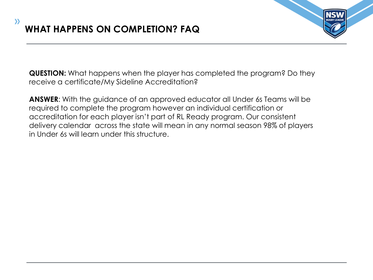

**QUESTION:** What happens when the player has completed the program? Do they receive a certificate/My Sideline Accreditation?

**ANSWER**: With the guidance of an approved educator all Under 6s Teams will be required to complete the program however an individual certification or accreditation for each player isn't part of RL Ready program. Our consistent delivery calendar across the state will mean in any normal season 98% of players in Under 6s will learn under this structure.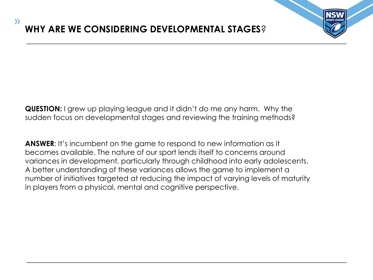

**QUESTION:** I grew up playing league and it didn't do me any harm. Why the sudden focus on developmental stages and reviewing the training methods?

**ANSWER:** It's incumbent on the game to respond to new information as it becomes available. The nature of our sport lends itself to concerns around variances in development, particularly through childhood into early adolescents. A better understanding of these variances allows the game to implement a number of initiatives targeted at reducing the impact of varying levels of maturity in players from a physical, mental and cognitive perspective.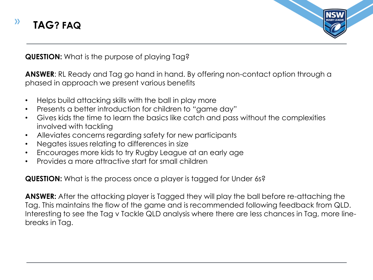



**QUESTION:** What is the purpose of playing Tag?

**ANSWER**: RL Ready and Tag go hand in hand. By offering non-contact option through a phased in approach we present various benefits

- Helps build attacking skills with the ball in play more
- Presents a better introduction for children to "game day"
- Gives kids the time to learn the basics like catch and pass without the complexities involved with tackling
- Alleviates concerns regarding safety for new participants
- Negates issues relating to differences in size
- Encourages more kids to try Rugby League at an early age
- Provides a more attractive start for small children

**QUESTION:** What is the process once a player is tagged for Under 6s?

**ANSWER:** After the attacking player is Tagged they will play the ball before re-attaching the Tag. This maintains the flow of the game and is recommended following feedback from QLD. Interesting to see the Tag v Tackle QLD analysis where there are less chances in Tag, more linebreaks in Tag.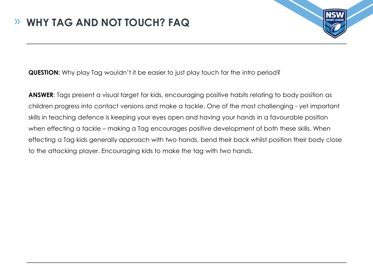

**QUESTION:** Why play Tag wouldn't it be easier to just play touch for the intro period?

ANSWER: Tags present a visual target for kids, encouraging positive habits relating to body position as children progress into contact versions and make a tackle. One of the most challenging - yet important skills in teaching defence is keeping your eyes open and having your hands in a favourable position when effecting a tackle – making a Tag encourages positive development of both these skills. When effecting a Tag kids generally approach with two hands, bend their back whilst position their body close to the attacking player. Encouraging kids to make the tag with two hands.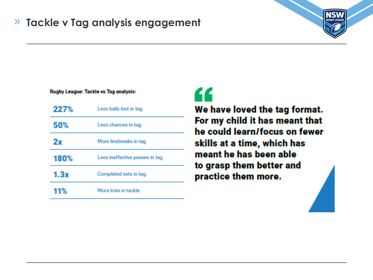#### **Tackle v Tag analysis engagement** $\lambda$



#### Rugby League: Tackle vs Tag analysis:

| 227% | Less balls lost in tag         |
|------|--------------------------------|
| 50%  | Less chances in tag            |
| 2х   | More linebreaks in tag         |
| 180% | Less ineffective passes in tag |
| 1.3x | Completed sets in tag          |
| 11%  | More tries in tackle           |

"

We have loved the tag format. For my child it has meant that he could learn/focus on fewer skills at a time, which has meant he has been able to grasp them better and practice them more.